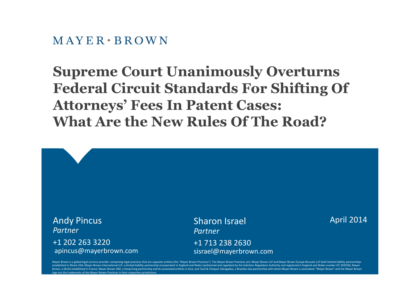$M$  AYER  $\cdot$  BROWN

# **Supreme Court Unanimously Overturns Federal Circuit Standards For Shifting Of Attorneys' Fees In Patent Cases: What Are the New Rules Of The Road?**



Mayer Brown is a global legal services provider comprising legal practices that are separate entities (the "Mayer Brown Practices"). The Mayer Brown Practices are: Mayer Brown LLP and Mayer Brown Europe-Brussels LLP both l established in Illinois USA; Mayer Brown International LLP, a limited liability partnership incorporated in England and Wales (authorized and regulated by the Solicitors Regulation Authority and registered in England and W Brown, a SELAS established in France; Mayer Brown JSM, a Hong Kong partnership and its associated entities in Asia; and Tauil & Chequer Advogados, a Brazilian law partnership with which Mayer Brown is associated. "Mayer Br logo are the trademarks of the Mayer Brown Practices in their respective jurisdictions.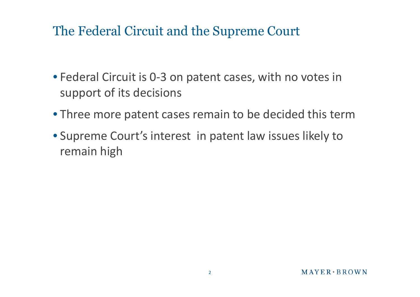#### The Federal Circuit and the Supreme Court

- Federal Circuit is 0-3 on patent cases, with no votes in support of its decisions
- Three more patent cases remain to be decided this term
- Supreme Court's interest in patent law issues likely to remain high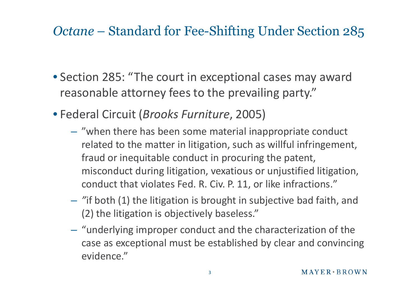## *Octane* – Standard for Fee-Shifting Under Section 285

- Section 285: "The court in exceptional cases may award reasonable attorney fees to the prevailing party."
- Federal Circuit (*Brooks Furniture*, 2005)
	- "when there has been some material inappropriate conduct related to the matter in litigation, such as willful infringement, fraud or inequitable conduct in procuring the patent, misconduct during litigation, vexatious or unjustified litigation, conduct that violates Fed. R. Civ. P. 11, or like infractions."
	- *"*if both (1) the litigation is brought in subjective bad faith, and (2) the litigation is objectively baseless."
	- "underlying improper conduct and the characterization of the case as exceptional must be established by clear and convincing evidence."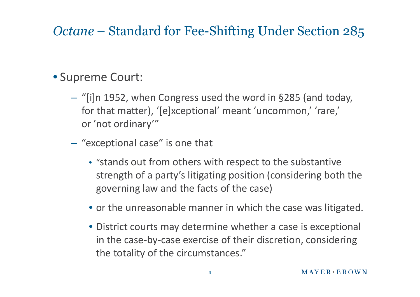# *Octane* – Standard for Fee-Shifting Under Section 285

#### • Supreme Court:

- "[i]n 1952, when Congress used the word in §285 (and today, for that matter), '[e]xceptional' meant 'uncommon,' 'rare,' or 'not ordinary'"
- "exceptional case" is one that
	- "stands out from others with respect to the substantive strength of a party's litigating position (considering both the governing law and the facts of the case)
	- or the unreasonable manner in which the case was litigated.
	- District courts may determine whether a case is exceptional in the case-by-case exercise of their discretion, considering the totality of the circumstances."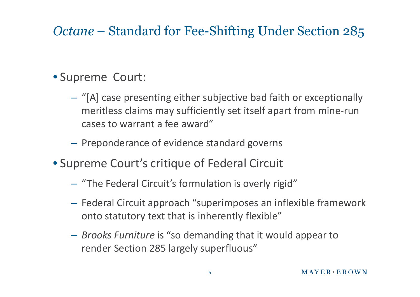# *Octane* – Standard for Fee-Shifting Under Section 285

#### • Supreme Court:

- "[A] case presenting either subjective bad faith or exceptionally meritless claims may sufficiently set itself apart from mine-run cases to warrant a fee award"
- Preponderance of evidence standard governs
- Supreme Court's critique of Federal Circuit
	- "The Federal Circuit's formulation is overly rigid"
	- Federal Circuit approach "superimposes an inflexible framework onto statutory text that is inherently flexible"
	- *Brooks Furniture* is "so demanding that it would appear to render Section 285 largely superfluous"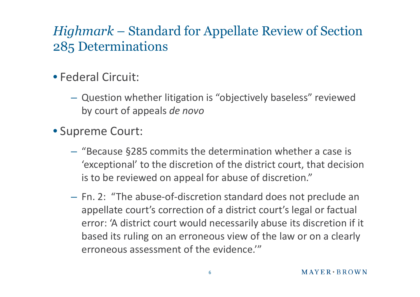# *Highmark* – Standard for Appellate Review of Section 285 Determinations

#### • Federal Circuit:

- Question whether litigation is "objectively baseless" reviewed by court of appeals *de novo*
- Supreme Court:
	- "Because §285 commits the determination whether a case is 'exceptional' to the discretion of the district court, that decision is to be reviewed on appeal for abuse of discretion."
	- Fn. 2: "The abuse-of-discretion standard does not preclude an appellate court's correction of a district court's legal or factual error: 'A district court would necessarily abuse its discretion if it based its ruling on an erroneous view of the law or on a clearly erroneous assessment of the evidence.'"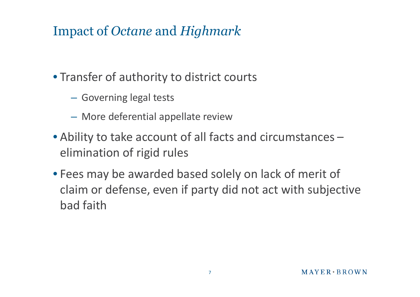## Impact of *Octane* and *Highmark*

- Transfer of authority to district courts
	- Governing legal tests
	- More deferential appellate review
- Ability to take account of all facts and circumstances elimination of rigid rules
- Fees may be awarded based solely on lack of merit of claim or defense, even if party did not act with subjective bad faith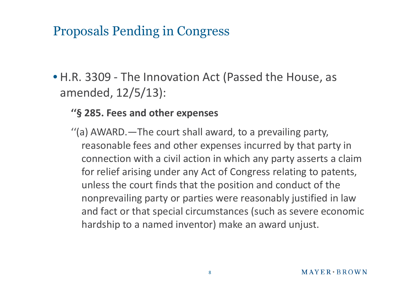## Proposals Pending in Congress

• H.R. 3309 - The Innovation Act (Passed the House, as amended, 12/5/13):

#### **''§ 285. Fees and other expenses**

''(a) AWARD.—The court shall award, to a prevailing party, reasonable fees and other expenses incurred by that party in connection with a civil action in which any party asserts a claim for relief arising under any Act of Congress relating to patents, unless the court finds that the position and conduct of the nonprevailing party or parties were reasonably justified in law and fact or that special circumstances (such as severe economic hardship to a named inventor) make an award unjust.